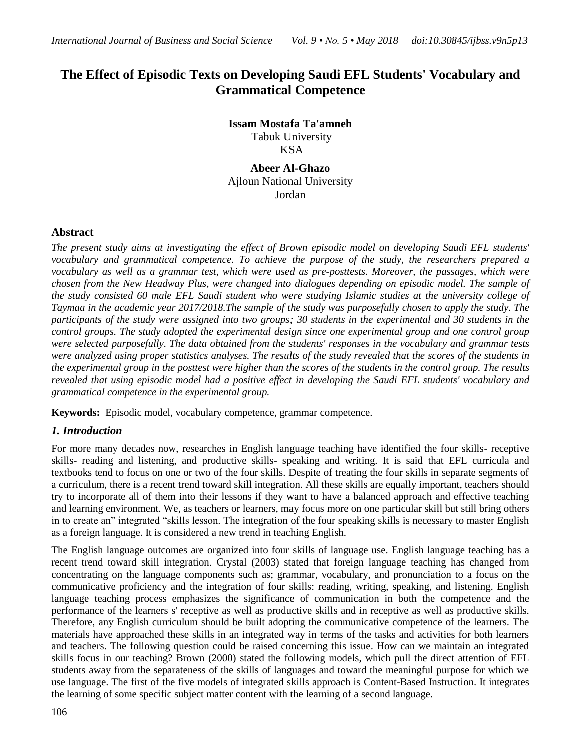# **The Effect of Episodic Texts on Developing Saudi EFL Students' Vocabulary and Grammatical Competence**

**Issam Mostafa Ta'amneh** Tabuk University KSA

**Abeer Al-Ghazo** Ajloun National University Jordan

## **Abstract**

The present study aims at investigating the effect of Brown episodic model on developing Saudi EFL students' *vocabulary and grammatical competence. To achieve the purpose of the study, the researchers prepared a* vocabulary as well as a grammar test, which were used as pre-posttests. Moreover, the passages, which were *chosen from the New Headway Plus, were changed into dialogues depending on episodic model. The sample of* the study consisted 60 male EFL Saudi student who were studying Islamic studies at the university college of Taymaa in the academic year 2017/2018. The sample of the study was purposefully chosen to apply the study. The participants of the study were assigned into two groups; 30 students in the experimental and 30 students in the *control groups. The study adopted the experimental design since one experimental group and one control group were selected purposefully. The data obtained from the students' responses in the vocabulary and grammar tests* were analyzed using proper statistics analyses. The results of the study revealed that the scores of the students in the experimental group in the posttest were higher than the scores of the students in the control group. The results revealed that using episodic model had a positive effect in developing the Saudi EFL students' vocabulary and *grammatical competence in the experimental group.*

**Keywords:** Episodic model, vocabulary competence, grammar competence.

## *1. Introduction*

For more many decades now, researches in English language teaching have identified the four skills- receptive skills- reading and listening, and productive skills- speaking and writing. It is said that EFL curricula and textbooks tend to focus on one or two of the four skills. Despite of treating the four skills in separate segments of a curriculum, there is a recent trend toward skill integration. All these skills are equally important, teachers should try to incorporate all of them into their lessons if they want to have a balanced approach and effective teaching and learning environment. We, as teachers or learners, may focus more on one particular skill but still bring others in to create an" integrated "skills lesson. The integration of the four speaking skills is necessary to master English as a foreign language. It is considered a new trend in teaching English.

The English language outcomes are organized into four skills of language use. English language teaching has a recent trend toward skill integration. Crystal (2003) stated that foreign language teaching has changed from concentrating on the language components such as; grammar, vocabulary, and pronunciation to a focus on the communicative proficiency and the integration of four skills: reading, writing, speaking, and listening. English language teaching process emphasizes the significance of communication in both the competence and the performance of the learners s' receptive as well as productive skills and in receptive as well as productive skills. Therefore, any English curriculum should be built adopting the communicative competence of the learners. The materials have approached these skills in an integrated way in terms of the tasks and activities for both learners and teachers. The following question could be raised concerning this issue. How can we maintain an integrated skills focus in our teaching? Brown (2000) stated the following models, which pull the direct attention of EFL students away from the separateness of the skills of languages and toward the meaningful purpose for which we use language. The first of the five models of integrated skills approach is Content-Based Instruction. It integrates the learning of some specific subject matter content with the learning of a second language.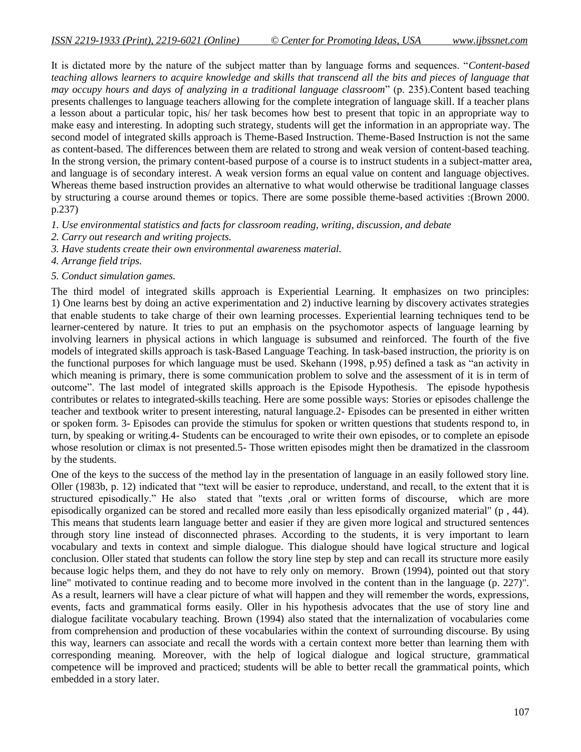It is dictated more by the nature of the subject matter than by language forms and sequences. "*Content-based teaching allows learners to acquire knowledge and skills that transcend all the bits and pieces of language that may occupy hours and days of analyzing in a traditional language classroom*" (p. 235).Content based teaching presents challenges to language teachers allowing for the complete integration of language skill. If a teacher plans a lesson about a particular topic, his/ her task becomes how best to present that topic in an appropriate way to make easy and interesting. In adopting such strategy, students will get the information in an appropriate way. The second model of integrated skills approach is Theme-Based Instruction. Theme-Based Instruction is not the same as content-based. The differences between them are related to strong and weak version of content-based teaching. In the strong version, the primary content-based purpose of a course is to instruct students in a subject-matter area, and language is of secondary interest. A weak version forms an equal value on content and language objectives. Whereas theme based instruction provides an alternative to what would otherwise be traditional language classes by structuring a course around themes or topics. There are some possible theme-based activities :(Brown 2000. p.237)

*1. Use environmental statistics and facts for classroom reading, writing, discussion, and debate*

- *2. Carry out research and writing projects.*
- *3. Have students create their own environmental awareness material.*
- *4. Arrange field trips.*

#### *5. Conduct simulation games.*

The third model of integrated skills approach is Experiential Learning. It emphasizes on two principles: 1) One learns best by doing an active experimentation and 2) inductive learning by discovery activates strategies that enable students to take charge of their own learning processes. Experiential learning techniques tend to be learner-centered by nature. It tries to put an emphasis on the psychomotor aspects of language learning by involving learners in physical actions in which language is subsumed and reinforced. The fourth of the five models of integrated skills approach is task-Based Language Teaching. In task-based instruction, the priority is on the functional purposes for which language must be used. Skehann (1998, p.95) defined a task as "an activity in which meaning is primary, there is some communication problem to solve and the assessment of it is in term of outcome". The last model of integrated skills approach is the Episode Hypothesis. The episode hypothesis contributes or relates to integrated-skills teaching. Here are some possible ways: Stories or episodes challenge the teacher and textbook writer to present interesting, natural language.2- Episodes can be presented in either written or spoken form. 3- Episodes can provide the stimulus for spoken or written questions that students respond to, in turn, by speaking or writing.4- Students can be encouraged to write their own episodes, or to complete an episode whose resolution or climax is not presented.5- Those written episodes might then be dramatized in the classroom by the students.

One of the keys to the success of the method lay in the presentation of language in an easily followed story line. Oller (1983b, p. 12) indicated that "text will be easier to reproduce, understand, and recall, to the extent that it is structured episodically." He also stated that "texts ,oral or written forms of discourse, which are more episodically organized can be stored and recalled more easily than less episodically organized material" (p , 44). This means that students learn language better and easier if they are given more logical and structured sentences through story line instead of disconnected phrases. According to the students, it is very important to learn vocabulary and texts in context and simple dialogue. This dialogue should have logical structure and logical conclusion. Oller stated that students can follow the story line step by step and can recall its structure more easily because logic helps them, and they do not have to rely only on memory. Brown (1994), pointed out that story line" motivated to continue reading and to become more involved in the content than in the language (p. 227)". As a result, learners will have a clear picture of what will happen and they will remember the words, expressions, events, facts and grammatical forms easily. Oller in his hypothesis advocates that the use of story line and dialogue facilitate vocabulary teaching. Brown (1994) also stated that the internalization of vocabularies come from comprehension and production of these vocabularies within the context of surrounding discourse. By using this way, learners can associate and recall the words with a certain context more better than learning them with corresponding meaning. Moreover, with the help of logical dialogue and logical structure, grammatical competence will be improved and practiced; students will be able to better recall the grammatical points, which embedded in a story later.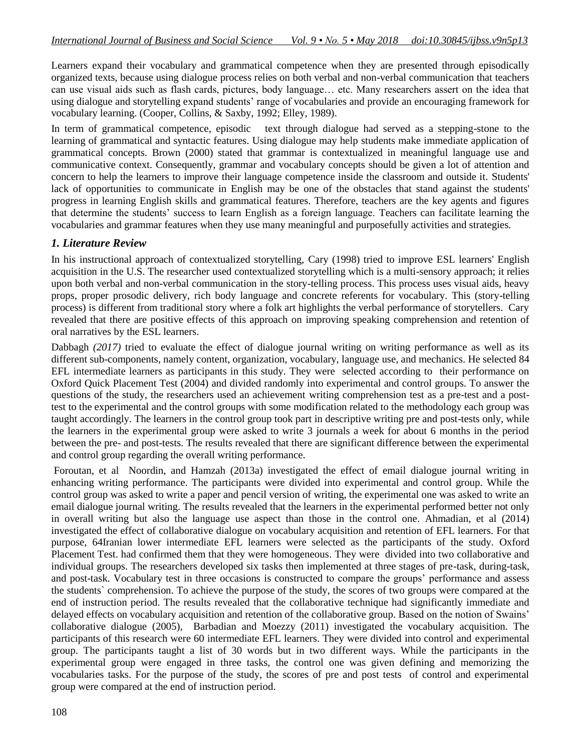Learners expand their vocabulary and grammatical competence when they are presented through episodically organized texts, because using dialogue process relies on both verbal and non-verbal communication that teachers can use visual aids such as flash cards, pictures, body language… etc. Many researchers assert on the idea that using dialogue and storytelling expand students' range of vocabularies and provide an encouraging framework for vocabulary learning. (Cooper, Collins, & Saxby, 1992; Elley, 1989).

In term of grammatical competence, episodic text through dialogue had served as a stepping-stone to the learning of grammatical and syntactic features. Using dialogue may help students make immediate application of grammatical concepts. Brown (2000) stated that grammar is contextualized in meaningful language use and communicative context. Consequently, grammar and vocabulary concepts should be given a lot of attention and concern to help the learners to improve their language competence inside the classroom and outside it. Students' lack of opportunities to communicate in English may be one of the obstacles that stand against the students' progress in learning English skills and grammatical features. Therefore, teachers are the key agents and figures that determine the students' success to learn English as a foreign language. Teachers can facilitate learning the vocabularies and grammar features when they use many meaningful and purposefully activities and strategies.

## *1. Literature Review*

In his instructional approach of contextualized storytelling, Cary (1998) tried to improve ESL learners' English acquisition in the U.S. The researcher used contextualized storytelling which is a multi-sensory approach; it relies upon both verbal and non-verbal communication in the story-telling process. This process uses visual aids, heavy props, proper prosodic delivery, rich body language and concrete referents for vocabulary. This (story-telling process) is different from traditional story where a folk art highlights the verbal performance of storytellers. Cary revealed that there are positive effects of this approach on improving speaking comprehension and retention of oral narratives by the ESL learners.

Dabbagh (2017) tried to evaluate the effect of dialogue journal writing on writing performance as well as its different sub-components, namely content, organization, vocabulary, language use, and mechanics. He selected 84 EFL intermediate learners as participants in this study. They were selected according to their performance on Oxford Quick Placement Test (2004) and divided randomly into experimental and control groups. To answer the questions of the study, the researchers used an achievement writing comprehension test as a pre-test and a posttest to the experimental and the control groups with some modification related to the methodology each group was taught accordingly. The learners in the control group took part in descriptive writing pre and post-tests only, while the learners in the experimental group were asked to write 3 journals a week for about 6 months in the period between the pre- and post-tests. The results revealed that there are significant difference between the experimental and control group regarding the overall writing performance.

Foroutan, et al Noordin, and Hamzah (2013a) investigated the effect of email dialogue journal writing in enhancing writing performance. The participants were divided into experimental and control group. While the control group was asked to write a paper and pencil version of writing, the experimental one was asked to write an email dialogue journal writing. The results revealed that the learners in the experimental performed better not only in overall writing but also the language use aspect than those in the control one. Ahmadian, et al (2014) investigated the effect of collaborative dialogue on vocabulary acquisition and retention of EFL learners. For that purpose, 64Iranian lower intermediate EFL learners were selected as the participants of the study. Oxford Placement Test. had confirmed them that they were homogeneous. They were divided into two collaborative and individual groups. The researchers developed six tasks then implemented at three stages of pre-task, during-task, and post-task. Vocabulary test in three occasions is constructed to compare the groups' performance and assess the students` comprehension. To achieve the purpose of the study, the scores of two groups were compared at the end of instruction period. The results revealed that the collaborative technique had significantly immediate and delayed effects on vocabulary acquisition and retention of the collaborative group. Based on the notion of Swains' collaborative dialogue (2005), Barbadian and Moezzy (2011) investigated the vocabulary acquisition. The participants of this research were 60 intermediate EFL learners. They were divided into control and experimental group. The participants taught a list of 30 words but in two different ways. While the participants in the experimental group were engaged in three tasks, the control one was given defining and memorizing the vocabularies tasks. For the purpose of the study, the scores of pre and post tests of control and experimental group were compared at the end of instruction period.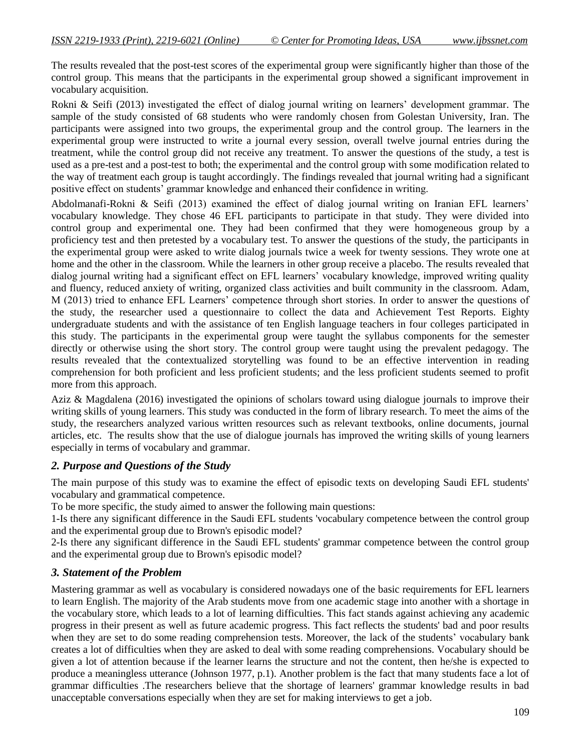The results revealed that the post-test scores of the experimental group were significantly higher than those of the control group. This means that the participants in the experimental group showed a significant improvement in vocabulary acquisition.

Rokni & Seifi (2013) investigated the effect of dialog journal writing on learners' development grammar*.* The sample of the study consisted of 68 students who were randomly chosen from Golestan University, Iran. The participants were assigned into two groups, the experimental group and the control group. The learners in the experimental group were instructed to write a journal every session, overall twelve journal entries during the treatment, while the control group did not receive any treatment. To answer the questions of the study, a test is used as a pre-test and a post-test to both; the experimental and the control group with some modification related to the way of treatment each group is taught accordingly. The findings revealed that journal writing had a significant positive effect on students' grammar knowledge and enhanced their confidence in writing.

Abdolmanafi-Rokni & Seifi (2013) examined the effect of dialog journal writing on Iranian EFL learners' vocabulary knowledge. They chose 46 EFL participants to participate in that study. They were divided into control group and experimental one. They had been confirmed that they were homogeneous group by a proficiency test and then pretested by a vocabulary test. To answer the questions of the study, the participants in the experimental group were asked to write dialog journals twice a week for twenty sessions. They wrote one at home and the other in the classroom. While the learners in other group receive a placebo. The results revealed that dialog journal writing had a significant effect on EFL learners' vocabulary knowledge, improved writing quality and fluency, reduced anxiety of writing, organized class activities and built community in the classroom. Adam, M (2013) tried to enhance EFL Learners' competence through short stories. In order to answer the questions of the study, the researcher used a questionnaire to collect the data and Achievement Test Reports. Eighty undergraduate students and with the assistance of ten English language teachers in four colleges participated in this study. The participants in the experimental group were taught the syllabus components for the semester directly or otherwise using the short story. The control group were taught using the prevalent pedagogy. The results revealed that the contextualized storytelling was found to be an effective intervention in reading comprehension for both proficient and less proficient students; and the less proficient students seemed to profit more from this approach.

Aziz & Magdalena (2016) investigated the opinions of scholars toward using dialogue journals to improve their writing skills of young learners. This study was conducted in the form of library research. To meet the aims of the study, the researchers analyzed various written resources such as relevant textbooks, online documents, journal articles, etc. The results show that the use of dialogue journals has improved the writing skills of young learners especially in terms of vocabulary and grammar.

#### *2. Purpose and Questions of the Study*

The main purpose of this study was to examine the effect of episodic texts on developing Saudi EFL students' vocabulary and grammatical competence.

To be more specific, the study aimed to answer the following main questions:

1-Is there any significant difference in the Saudi EFL students 'vocabulary competence between the control group and the experimental group due to Brown's episodic model?

2-Is there any significant difference in the Saudi EFL students' grammar competence between the control group and the experimental group due to Brown's episodic model?

#### *3. Statement of the Problem*

Mastering grammar as well as vocabulary is considered nowadays one of the basic requirements for EFL learners to learn English. The majority of the Arab students move from one academic stage into another with a shortage in the vocabulary store, which leads to a lot of learning difficulties. This fact stands against achieving any academic progress in their present as well as future academic progress. This fact reflects the students' bad and poor results when they are set to do some reading comprehension tests. Moreover, the lack of the students' vocabulary bank creates a lot of difficulties when they are asked to deal with some reading comprehensions. Vocabulary should be given a lot of attention because if the learner learns the structure and not the content, then he/she is expected to produce a meaningless utterance (Johnson 1977, p.1). Another problem is the fact that many students face a lot of grammar difficulties .The researchers believe that the shortage of learners' grammar knowledge results in bad unacceptable conversations especially when they are set for making interviews to get a job.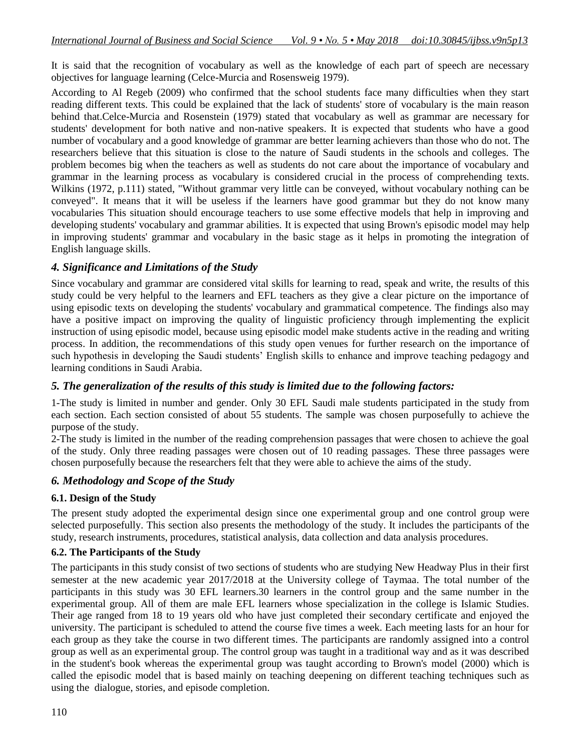It is said that the recognition of vocabulary as well as the knowledge of each part of speech are necessary objectives for language learning (Celce-Murcia and Rosensweig 1979).

According to Al Regeb (2009) who confirmed that the school students face many difficulties when they start reading different texts. This could be explained that the lack of students' store of vocabulary is the main reason behind that.Celce-Murcia and Rosenstein (1979) stated that vocabulary as well as grammar are necessary for students' development for both native and non-native speakers. It is expected that students who have a good number of vocabulary and a good knowledge of grammar are better learning achievers than those who do not. The researchers believe that this situation is close to the nature of Saudi students in the schools and colleges. The problem becomes big when the teachers as well as students do not care about the importance of vocabulary and grammar in the learning process as vocabulary is considered crucial in the process of comprehending texts. Wilkins (1972, p.111) stated, "Without grammar very little can be conveyed, without vocabulary nothing can be conveyed". It means that it will be useless if the learners have good grammar but they do not know many vocabularies This situation should encourage teachers to use some effective models that help in improving and developing students' vocabulary and grammar abilities. It is expected that using Brown's episodic model may help in improving students' grammar and vocabulary in the basic stage as it helps in promoting the integration of English language skills.

## *4. Significance and Limitations of the Study*

Since vocabulary and grammar are considered vital skills for learning to read, speak and write, the results of this study could be very helpful to the learners and EFL teachers as they give a clear picture on the importance of using episodic texts on developing the students' vocabulary and grammatical competence. The findings also may have a positive impact on improving the quality of linguistic proficiency through implementing the explicit instruction of using episodic model, because using episodic model make students active in the reading and writing process. In addition, the recommendations of this study open venues for further research on the importance of such hypothesis in developing the Saudi students' English skills to enhance and improve teaching pedagogy and learning conditions in Saudi Arabia.

## *5. The generalization of the results of this study is limited due to the following factors:*

1-The study is limited in number and gender. Only 30 EFL Saudi male students participated in the study from each section. Each section consisted of about 55 students. The sample was chosen purposefully to achieve the purpose of the study.

2-The study is limited in the number of the reading comprehension passages that were chosen to achieve the goal of the study. Only three reading passages were chosen out of 10 reading passages. These three passages were chosen purposefully because the researchers felt that they were able to achieve the aims of the study.

## *6. Methodology and Scope of the Study*

#### **6.1. Design of the Study**

The present study adopted the experimental design since one experimental group and one control group were selected purposefully. This section also presents the methodology of the study. It includes the participants of the study, research instruments, procedures, statistical analysis, data collection and data analysis procedures.

#### **6.2. The Participants of the Study**

The participants in this study consist of two sections of students who are studying New Headway Plus in their first semester at the new academic year 2017/2018 at the University college of Taymaa. The total number of the participants in this study was 30 EFL learners.30 learners in the control group and the same number in the experimental group. All of them are male EFL learners whose specialization in the college is Islamic Studies. Their age ranged from 18 to 19 years old who have just completed their secondary certificate and enjoyed the university. The participant is scheduled to attend the course five times a week. Each meeting lasts for an hour for each group as they take the course in two different times. The participants are randomly assigned into a control group as well as an experimental group. The control group was taught in a traditional way and as it was described in the student's book whereas the experimental group was taught according to Brown's model (2000) which is called the episodic model that is based mainly on teaching deepening on different teaching techniques such as using the dialogue, stories, and episode completion.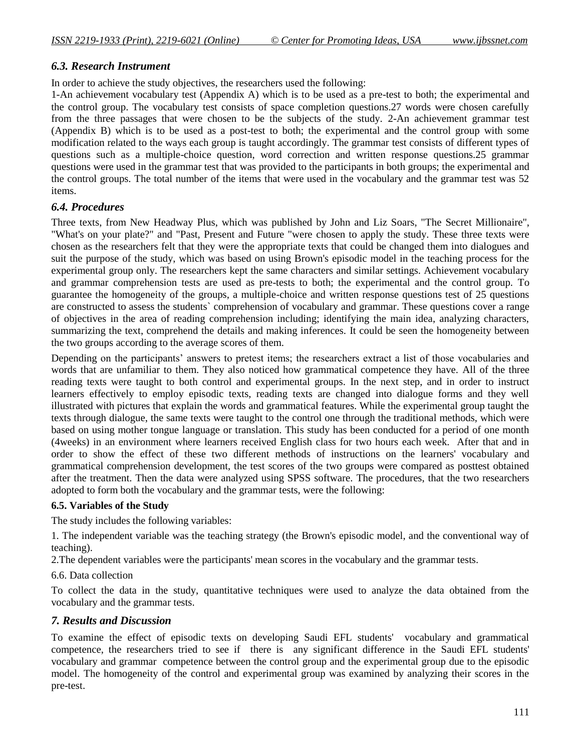#### *6.3. Research Instrument*

In order to achieve the study objectives, the researchers used the following:

1-An achievement vocabulary test (Appendix A) which is to be used as a pre-test to both; the experimental and the control group. The vocabulary test consists of space completion questions.27 words were chosen carefully from the three passages that were chosen to be the subjects of the study. 2-An achievement grammar test (Appendix B) which is to be used as a post-test to both; the experimental and the control group with some modification related to the ways each group is taught accordingly. The grammar test consists of different types of questions such as a multiple-choice question, word correction and written response questions.25 grammar questions were used in the grammar test that was provided to the participants in both groups; the experimental and the control groups. The total number of the items that were used in the vocabulary and the grammar test was 52 items.

## *6.4. Procedures*

Three texts, from New Headway Plus, which was published by John and Liz Soars, "The Secret Millionaire", "What's on your plate?" and "Past, Present and Future "were chosen to apply the study. These three texts were chosen as the researchers felt that they were the appropriate texts that could be changed them into dialogues and suit the purpose of the study, which was based on using Brown's episodic model in the teaching process for the experimental group only. The researchers kept the same characters and similar settings. Achievement vocabulary and grammar comprehension tests are used as pre-tests to both; the experimental and the control group. To guarantee the homogeneity of the groups, a multiple-choice and written response questions test of 25 questions are constructed to assess the students` comprehension of vocabulary and grammar. These questions cover a range of objectives in the area of reading comprehension including; identifying the main idea, analyzing characters, summarizing the text, comprehend the details and making inferences. It could be seen the homogeneity between the two groups according to the average scores of them.

Depending on the participants' answers to pretest items; the researchers extract a list of those vocabularies and words that are unfamiliar to them. They also noticed how grammatical competence they have. All of the three reading texts were taught to both control and experimental groups. In the next step, and in order to instruct learners effectively to employ episodic texts, reading texts are changed into dialogue forms and they well illustrated with pictures that explain the words and grammatical features. While the experimental group taught the texts through dialogue, the same texts were taught to the control one through the traditional methods, which were based on using mother tongue language or translation. This study has been conducted for a period of one month (4weeks) in an environment where learners received English class for two hours each week. After that and in order to show the effect of these two different methods of instructions on the learners' vocabulary and grammatical comprehension development, the test scores of the two groups were compared as posttest obtained after the treatment. Then the data were analyzed using SPSS software. The procedures, that the two researchers adopted to form both the vocabulary and the grammar tests, were the following:

#### **6.5. Variables of the Study**

The study includes the following variables:

1. The independent variable was the teaching strategy (the Brown's episodic model, and the conventional way of teaching).

2.The dependent variables were the participants' mean scores in the vocabulary and the grammar tests.

6.6. Data collection

To collect the data in the study, quantitative techniques were used to analyze the data obtained from the vocabulary and the grammar tests.

#### *7. Results and Discussion*

To examine the effect of episodic texts on developing Saudi EFL students' vocabulary and grammatical competence, the researchers tried to see if there is any significant difference in the Saudi EFL students' vocabulary and grammar competence between the control group and the experimental group due to the episodic model. The homogeneity of the control and experimental group was examined by analyzing their scores in the pre-test.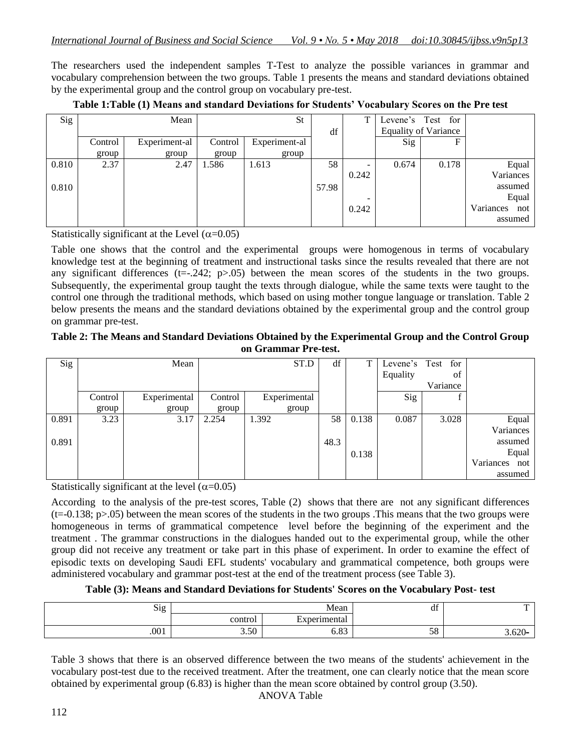The researchers used the independent samples T-Test to analyze the possible variances in grammar and vocabulary comprehension between the two groups. Table 1 presents the means and standard deviations obtained by the experimental group and the control group on vocabulary pre-test.

| Sig   |         | Mean          |         | St            |       |       | Levene's Test for |                             |                  |
|-------|---------|---------------|---------|---------------|-------|-------|-------------------|-----------------------------|------------------|
|       |         |               |         |               | df    |       |                   | <b>Equality of Variance</b> |                  |
|       | Control | Experiment-al | Control | Experiment-al |       |       | Sig               |                             |                  |
|       | group   | group         | group   | group         |       |       |                   |                             |                  |
| 0.810 | 2.37    | 2.47          | 1.586   | 1.613         | 58    |       | 0.674             | 0.178                       | Equal            |
|       |         |               |         |               |       | 0.242 |                   |                             | Variances        |
| 0.810 |         |               |         |               | 57.98 |       |                   |                             | assumed          |
|       |         |               |         |               |       |       |                   |                             | Equal            |
|       |         |               |         |               |       | 0.242 |                   |                             | Variances<br>not |
|       |         |               |         |               |       |       |                   |                             | assumed          |

|  |  | Table 1:Table (1) Means and standard Deviations for Students' Vocabulary Scores on the Pre test |  |  |
|--|--|-------------------------------------------------------------------------------------------------|--|--|
|  |  |                                                                                                 |  |  |

Statistically significant at the Level  $(\alpha=0.05)$ 

Table one shows that the control and the experimental groups were homogenous in terms of vocabulary knowledge test at the beginning of treatment and instructional tasks since the results revealed that there are not any significant differences ( $t=-.242$ ;  $p>0.05$ ) between the mean scores of the students in the two groups. Subsequently, the experimental group taught the texts through dialogue, while the same texts were taught to the control one through the traditional methods, which based on using mother tongue language or translation. Table 2 below presents the means and the standard deviations obtained by the experimental group and the control group on grammar pre-test.

#### **Table 2: The Means and Standard Deviations Obtained by the Experimental Group and the Control Group on Grammar Pre-test.**

| Sig   |         | Mean         |         | ST.D         | df   | ᠇     | Levene's | for<br>Test |                  |
|-------|---------|--------------|---------|--------------|------|-------|----------|-------------|------------------|
|       |         |              |         |              |      |       | Equality | οf          |                  |
|       |         |              |         |              |      |       |          | Variance    |                  |
|       | Control | Experimental | Control | Experimental |      |       | Sig      |             |                  |
|       | group   | group        | group   | group        |      |       |          |             |                  |
| 0.891 | 3.23    | 3.17         | 2.254   | 1.392        | 58   | 0.138 | 0.087    | 3.028       | Equal            |
|       |         |              |         |              |      |       |          |             | Variances        |
| 0.891 |         |              |         |              | 48.3 |       |          |             | assumed          |
|       |         |              |         |              |      | 0.138 |          |             | Equal            |
|       |         |              |         |              |      |       |          |             | Variances<br>not |
|       |         |              |         |              |      |       |          |             | assumed          |

Statistically significant at the level  $(\alpha=0.05)$ 

According to the analysis of the pre-test scores, Table (2) shows that there are not any significant differences  $(t=0.138; p>0.05)$  between the mean scores of the students in the two groups .This means that the two groups were homogeneous in terms of grammatical competence level before the beginning of the experiment and the treatment . The grammar constructions in the dialogues handed out to the experimental group, while the other group did not receive any treatment or take part in this phase of experiment. In order to examine the effect of episodic texts on developing Saudi EFL students' vocabulary and grammatical competence, both groups were administered vocabulary and grammar post-test at the end of the treatment process (see Table 3).

#### **Table (3): Means and Standard Deviations for Students' Scores on the Vocabulary Post- test**

| $\sim$<br>51g<br>- 0 |                                     | Mean                | $\sim$<br><b>u</b> | $\mathbf{r}$ |
|----------------------|-------------------------------------|---------------------|--------------------|--------------|
|                      | control                             | Experimental        |                    |              |
| .001                 | $\sim$ $\sim$ $\sim$<br><b>J.JU</b> | 00 ~<br><b>0.05</b> | $-1$<br>E U<br>J0  | $5.620 -$    |

Table 3 shows that there is an observed difference between the two means of the students' achievement in the vocabulary post-test due to the received treatment. After the treatment, one can clearly notice that the mean score obtained by experimental group (6.83) is higher than the mean score obtained by control group (3.50).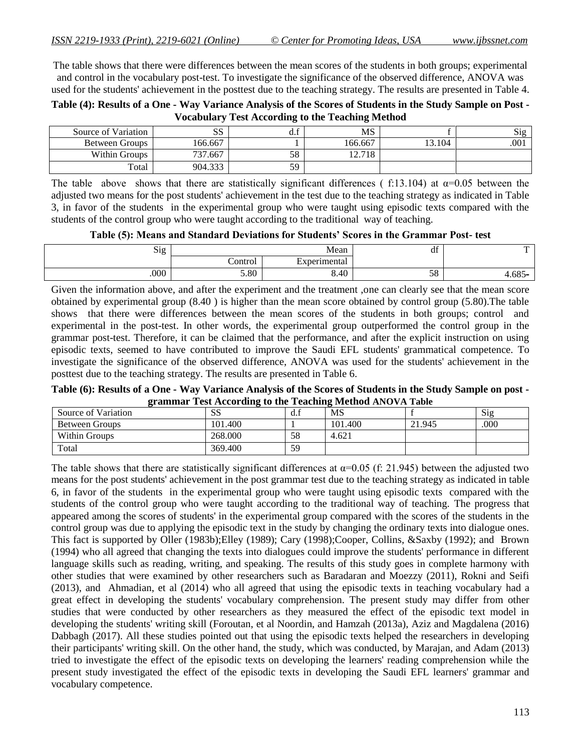The table shows that there were differences between the mean scores of the students in both groups; experimental and control in the vocabulary post-test. To investigate the significance of the observed difference, ANOVA was used for the students' achievement in the posttest due to the teaching strategy. The results are presented in Table 4.

| Table (4): Results of a One - Way Variance Analysis of the Scores of Students in the Study Sample on Post - |
|-------------------------------------------------------------------------------------------------------------|
| <b>Vocabulary Test According to the Teaching Method</b>                                                     |

| Source of Variation | UΩ<br>55 | u.i | MS      |        | $\mathrm{Sig}$ |
|---------------------|----------|-----|---------|--------|----------------|
| Between Groups      | 66.667   |     | 166.667 | 13.104 | .001           |
| Within Groups       | 737.667  | 58  | 12.718  |        |                |
| Total               | 904.333  | 59  |         |        |                |

The table above shows that there are statistically significant differences ( f:13.104) at  $\alpha$ =0.05 between the adjusted two means for the post students' achievement in the test due to the teaching strategy as indicated in Table 3, in favor of the students in the experimental group who were taught using episodic texts compared with the students of the control group who were taught according to the traditional way of teaching.

**Table (5): Means and Standard Deviations for Students' Scores in the Grammar Post- test**

| —         | df         | Mean                | $\sim$<br>$\mathrm{Sig}$ |      |
|-----------|------------|---------------------|--------------------------|------|
|           |            | Experimental<br>تمص | ∼<br>Control             |      |
| $4.685 -$ | F O<br>JO. | 8.40                | 5.80                     | .000 |

Given the information above, and after the experiment and the treatment ,one can clearly see that the mean score obtained by experimental group (8.40 ) is higher than the mean score obtained by control group (5.80).The table shows that there were differences between the mean scores of the students in both groups; control and experimental in the post-test. In other words, the experimental group outperformed the control group in the grammar post-test. Therefore, it can be claimed that the performance, and after the explicit instruction on using episodic texts, seemed to have contributed to improve the Saudi EFL students' grammatical competence. To investigate the significance of the observed difference, ANOVA was used for the students' achievement in the posttest due to the teaching strategy. The results are presented in Table 6.

**Table (6): Results of a One - Way Variance Analysis of the Scores of Students in the Study Sample on post grammar Test According to the Teaching Method ANOVA Table**

| Source of Variation | $\alpha$<br>55 | d.f | <b>MS</b> |        | Sig  |
|---------------------|----------------|-----|-----------|--------|------|
| Between Groups      | 101.400        |     | 101.400   | 21.945 | .000 |
| Within Groups       | 268,000        | 58  | 4.621     |        |      |
| Total               | 369.400        | 59  |           |        |      |

The table shows that there are statistically significant differences at  $\alpha$ =0.05 (f: 21.945) between the adjusted two means for the post students' achievement in the post grammar test due to the teaching strategy as indicated in table 6, in favor of the students in the experimental group who were taught using episodic texts compared with the students of the control group who were taught according to the traditional way of teaching. The progress that appeared among the scores of students' in the experimental group compared with the scores of the students in the control group was due to applying the episodic text in the study by changing the ordinary texts into dialogue ones. This fact is supported by Oller (1983b);Elley (1989); Cary (1998);Cooper, Collins, &Saxby (1992); and Brown (1994) who all agreed that changing the texts into dialogues could improve the students' performance in different language skills such as reading, writing, and speaking. The results of this study goes in complete harmony with other studies that were examined by other researchers such as Baradaran and Moezzy (2011), Rokni and Seifi (2013), and Ahmadian, et al (2014) who all agreed that using the episodic texts in teaching vocabulary had a great effect in developing the students' vocabulary comprehension. The present study may differ from other studies that were conducted by other researchers as they measured the effect of the episodic text model in developing the students' writing skill (Foroutan, et al Noordin, and Hamzah (2013a), Aziz and Magdalena (2016) Dabbagh (2017). All these studies pointed out that using the episodic texts helped the researchers in developing their participants' writing skill. On the other hand, the study, which was conducted, by Marajan, and Adam (2013) tried to investigate the effect of the episodic texts on developing the learners' reading comprehension while the present study investigated the effect of the episodic texts in developing the Saudi EFL learners' grammar and vocabulary competence.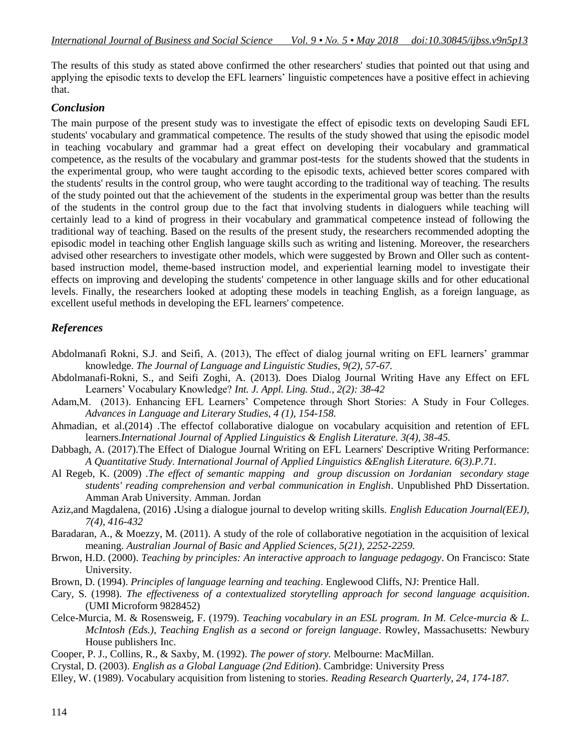The results of this study as stated above confirmed the other researchers' studies that pointed out that using and applying the episodic texts to develop the EFL learners' linguistic competences have a positive effect in achieving that.

## *Conclusion*

The main purpose of the present study was to investigate the effect of episodic texts on developing Saudi EFL students' vocabulary and grammatical competence. The results of the study showed that using the episodic model in teaching vocabulary and grammar had a great effect on developing their vocabulary and grammatical competence, as the results of the vocabulary and grammar post-tests for the students showed that the students in the experimental group, who were taught according to the episodic texts, achieved better scores compared with the students' results in the control group, who were taught according to the traditional way of teaching. The results of the study pointed out that the achievement of the students in the experimental group was better than the results of the students in the control group due to the fact that involving students in dialoguers while teaching will certainly lead to a kind of progress in their vocabulary and grammatical competence instead of following the traditional way of teaching. Based on the results of the present study, the researchers recommended adopting the episodic model in teaching other English language skills such as writing and listening. Moreover, the researchers advised other researchers to investigate other models, which were suggested by Brown and Oller such as contentbased instruction model, theme-based instruction model, and experiential learning model to investigate their effects on improving and developing the students' competence in other language skills and for other educational levels. Finally, the researchers looked at adopting these models in teaching English, as a foreign language, as excellent useful methods in developing the EFL learners' competence.

# *References*

- Abdolmanafi Rokni, S.J. and Seifi, A. (2013), The effect of dialog journal writing on EFL learners' grammar knowledge. *The Journal of Language and Linguistic Studies, 9(2), 57-67.*
- Abdolmanafi-Rokni, S., and Seifi Zoghi, A. (2013). Does Dialog Journal Writing Have any Effect on EFL Learners' Vocabulary Knowledge? *Int. J. Appl. Ling. Stud., 2(2): 38-42*
- Adam,M. (2013). Enhancing EFL Learners' Competence through Short Stories: A Study in Four Colleges. *Advances in Language and Literary Studies, 4 (1), 154-158.*
- Ahmadian, et al.(2014) *.*The effectof collaborative dialogue on vocabulary acquisition and retention of EFL learners.*International Journal of Applied Linguistics & English Literature. 3(4), 38-45.*
- Dabbagh, A. (2017).The Effect of Dialogue Journal Writing on EFL Learners' Descriptive Writing Performance: *A Quantitative Study. International Journal of Applied Linguistics &English Literature. 6(3).P.71.*
- Al Regeb, K. (2009) .*The effect of semantic mapping and group discussion on Jordanian secondary stage students' reading comprehension and verbal communication in English*. Unpublished PhD Dissertation. Amman Arab University. Amman. Jordan
- Aziz,and Magdalena, (2016) **.**Using a dialogue journal to develop writing skills. *English Education Journal(EEJ), 7(4), 416-432*
- Baradaran, A., & Moezzy, M. (2011). A study of the role of collaborative negotiation in the acquisition of lexical meaning. *Australian Journal of Basic and Applied Sciences, 5(21), 2252-2259.*
- Brwon, H.D. (2000). *Teaching by principles: An interactive approach to language pedagogy*. On Francisco: State University.
- Brown, D. (1994). *Principles of language learning and teaching*. Englewood Cliffs, NJ: Prentice Hall.
- Cary, S. (1998). *The effectiveness of a contextualized storytelling approach for second language acquisition*. (UMI Microform 9828452)
- Celce-Murcia, M. & Rosensweig, F. (1979). *Teaching vocabulary in an ESL program. In M. Celce-murcia & L. McIntosh (Eds.), Teaching English as a second or foreign language*. Rowley, Massachusetts: Newbury House publishers Inc.
- Cooper, P. J., Collins, R., & Saxby, M. (1992). *The power of story.* Melbourne: MacMillan.
- Crystal, D. (2003). *English as a Global Language (2nd Edition*). Cambridge: University Press
- Elley, W. (1989). Vocabulary acquisition from listening to stories. *Reading Research Quarterly, 24, 174-187.*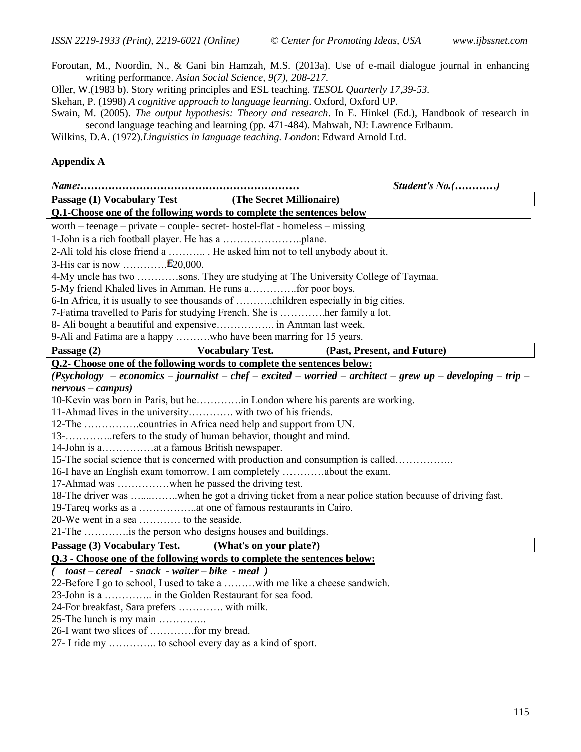Foroutan, M., Noordin, N., & Gani bin Hamzah, M.S. (2013a). Use of e-mail dialogue journal in enhancing writing performance. *Asian Social Science, 9(7), 208-217.*

Oller, W.(1983 b). Story writing principles and ESL teaching. *TESOL Quarterly 17,39-53.*

Skehan, P. (1998) *A cognitive approach to language learning*. Oxford, Oxford UP.

Swain, M. (2005). *The output hypothesis: Theory and research*. In E. Hinkel (Ed.), Handbook of research in second language teaching and learning (pp. 471-484). Mahwah, NJ: Lawrence Erlbaum.

Wilkins, D.A. (1972).*Linguistics in language teaching. London*: Edward Arnold Ltd.

#### **Appendix A**

*Name:……………………………………………………… Student's No.(…………)* **Passage (1) Vocabulary Test (The Secret Millionaire) Q.1-Choose one of the following words to complete the sentences below** worth – teenage – private – couple- secret- hostel-flat - homeless – missing 1-John is a rich football player. He has a …………………..plane. 2-Ali told his close friend a ……….. . He asked him not to tell anybody about it. 3-His car is now  $\dots \dots \dots \dots$ .  $\text{\pounds}20,000$ . 4-My uncle has two …………sons. They are studying at The University College of Taymaa. 5-My friend Khaled lives in Amman. He runs a…………..for poor boys. 6-In Africa, it is usually to see thousands of ………..children especially in big cities. 7-Fatima travelled to Paris for studying French. She is ………….her family a lot. 8- Ali bought a beautiful and expensive…………….. in Amman last week. 9-Ali and Fatima are a happy ……….who have been marring for 15 years. **Passage (2) Vocabulary Test. (Past, Present, and Future) Q.2- Choose one of the following words to complete the sentences below:** *(Psychology – economics – journalist – chef – excited – worried – architect – grew up – developing – trip – nervous – campus)* 10-Kevin was born in Paris, but he………….in London where his parents are working. 11-Ahmad lives in the university…………. with two of his friends. 12-The …………….countries in Africa need help and support from UN. 13-…………..refers to the study of human behavior, thought and mind. 14-John is a……………at a famous British newspaper. 15-The social science that is concerned with production and consumption is called…………….. 16-I have an English exam tomorrow. I am completely …………about the exam. 17-Ahmad was ……………when he passed the driving test. 18-The driver was …....……..when he got a driving ticket from a near police station because of driving fast. 19-Tareq works as a ……………..at one of famous restaurants in Cairo. 20-We went in a sea ………… to the seaside. 21-The ………….is the person who designs houses and buildings. **Passage (3) Vocabulary Test. (What's on your plate?) Q.3 - Choose one of the following words to complete the sentences below:** *( toast – cereal - snack - waiter – bike - meal )* 22-Before I go to school, I used to take a ………with me like a cheese sandwich. 23-John is a ………….. in the Golden Restaurant for sea food. 24-For breakfast, Sara prefers …………. with milk. 25-The lunch is my main ………….. 26-I want two slices of ………….for my bread. 27- I ride my ………….. to school every day as a kind of sport.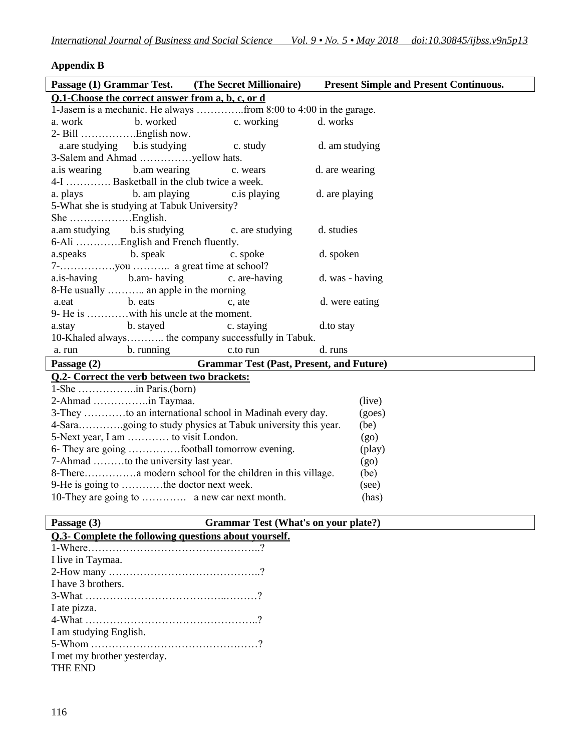# **Appendix B**

| Passage (1) Grammar Test. (The Secret Millionaire)      |            | <b>Present Simple and Present Continuous.</b> |
|---------------------------------------------------------|------------|-----------------------------------------------|
| Q.1-Choose the correct answer from a, b, c, or d        |            |                                               |
|                                                         |            |                                               |
|                                                         | c. working | d. works                                      |
|                                                         |            |                                               |
| a.are studying b.is studying                            | c. study   | d. am studying                                |
|                                                         |            |                                               |
| a.is wearing b.am wearing                               | c. wears   | d. are wearing                                |
| 4-I  Basketball in the club twice a week.               |            |                                               |
| a. plays b. am playing c. is playing                    |            | d. are playing                                |
| 5-What she is studying at Tabuk University?             |            |                                               |
|                                                         |            |                                               |
| a.am studying b.is studying c. are studying             |            | d. studies                                    |
| 6-Ali English and French fluently.                      |            |                                               |
| a.speaks b. speak                                       | c. spoke   | d. spoken                                     |
|                                                         |            |                                               |
| a.is-having b.am-having c. are-having                   |            | d. was - having                               |
| 8-He usually  an apple in the morning                   |            |                                               |
| a.eat b.eats                                            | c, ate     | d. were eating                                |
| 9- He is with his uncle at the moment.                  |            |                                               |
| a.stay b. stayed                                        | c. staying | d.to stay                                     |
| 10-Khaled always the company successfully in Tabuk.     |            |                                               |
| b. running c.to run<br>a. run                           |            | d. runs                                       |
| Passage (2) Grammar Test (Past, Present, and Future)    |            |                                               |
| <b>Q.2- Correct the verb between two brackets:</b>      |            |                                               |
| 1-She in Paris.(born)                                   |            |                                               |
|                                                         |            | (live)                                        |
| 3-They to an international school in Madinah every day. |            | (goes)                                        |
|                                                         |            | (be)                                          |
| 5-Next year, I am  to visit London.                     |            | (go)                                          |
| 6- They are going football tomorrow evening.            |            | (play)                                        |
| 7-Ahmad to the university last year.                    |            | (g <sub>0</sub> )                             |
|                                                         |            | (be)                                          |
| 9-He is going to the doctor next week.                  |            | (see)                                         |
|                                                         |            | (has)                                         |
|                                                         |            |                                               |

# Grammar Test (What's on your plate?)

| Passage (3)                                           | <b>Grammar Test (Wh</b> |
|-------------------------------------------------------|-------------------------|
| Q.3- Complete the following questions about yourself. |                         |
|                                                       |                         |
| I live in Taymaa.                                     |                         |
|                                                       |                         |
| I have 3 brothers.                                    |                         |
|                                                       |                         |
| I ate pizza.                                          |                         |
|                                                       |                         |
| I am studying English.                                |                         |
|                                                       |                         |
| I met my brother yesterday.                           |                         |
| <b>THE END</b>                                        |                         |
|                                                       |                         |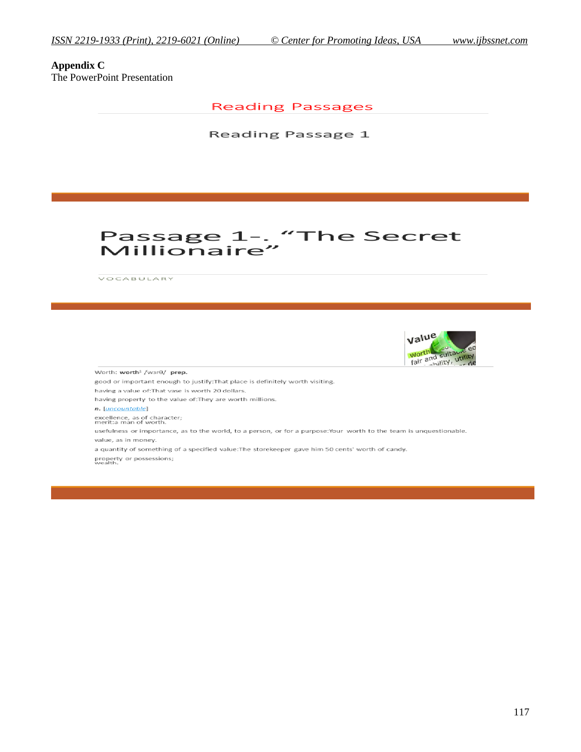**Appendix C** The PowerPoint Presentation

**Reading Passages** 

Reading Passage 1

# Passage 1-. "The Secret Millionaire"

VOCABULARY



Worth: worth<sup>1</sup> /w3r0/ prep.

good or important enough to justify: That place is definitely worth visiting. having a value of: That vase is worth 20 dollars. having property to the value of: They are worth millions.

n. [uncountable]

excellence, as of character;<br>merit:a man of worth.

usefulness or importance, as to the world, to a person, or for a purpose:Your worth to the team is unquestionable. value, as in money.

a quantity of something of a specified value: The storekeeper gave him 50 cents' worth of candy. property or possessions;<br>wealth.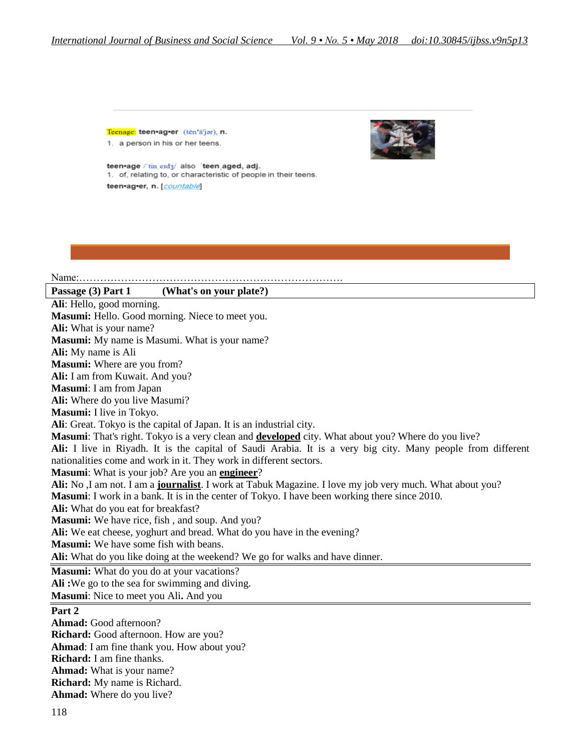Teenage: teen\*ag\*er (ten'a'jor), n. 1. a person in his or her teens.



teen•age /'tin\_erd3/ also 'teen\_aged, adj. 1. of, relating to, or characteristic of people in their teens. teen•ag•er, n. [countable]

#### Name:…………………………………………………………………. **Passage (3) Part 1 (What's on your plate?) Ali**: Hello, good morning. **Masumi:** Hello. Good morning. Niece to meet you. **Ali:** What is your name? **Masumi:** My name is Masumi. What is your name? **Ali:** My name is Ali **Masumi:** Where are you from? **Ali:** I am from Kuwait. And you? **Masumi**: I am from Japan **Ali:** Where do you live Masumi? **Masumi:** I live in Tokyo. **Ali**: Great. Tokyo is the capital of Japan. It is an industrial city. **Masumi**: That's right. Tokyo is a very clean and **developed** city. What about you? Where do you live? **Ali:** I live in Riyadh. It is the capital of Saudi Arabia. It is a very big city. Many people from different nationalities come and work in it. They work in different sectors. **Masumi**: What is your job? Are you an **engineer**? **Ali:** No ,I am not. I am a **journalist**. I work at Tabuk Magazine. I love my job very much. What about you? **Masumi**: I work in a bank. It is in the center of Tokyo. I have been working there since 2010. **Ali:** What do you eat for breakfast? **Masumi:** We have rice, fish , and soup. And you? Ali: We eat cheese, yoghurt and bread. What do you have in the evening? **Masumi:** We have some fish with beans. **Ali:** What do you like doing at the weekend? We go for walks and have dinner. **Masumi:** What do you do at your vacations? **Ali :**We go to the sea for swimming and diving. **Masumi**: Nice to meet you Ali**.** And you **Part 2 Ahmad:** Good afternoon? **Richard:** Good afternoon. How are you? **Ahmad**: I am fine thank you. How about you? **Richard:** I am fine thanks. **Ahmad:** What is your name?

**Richard:** My name is Richard. **Ahmad:** Where do you live?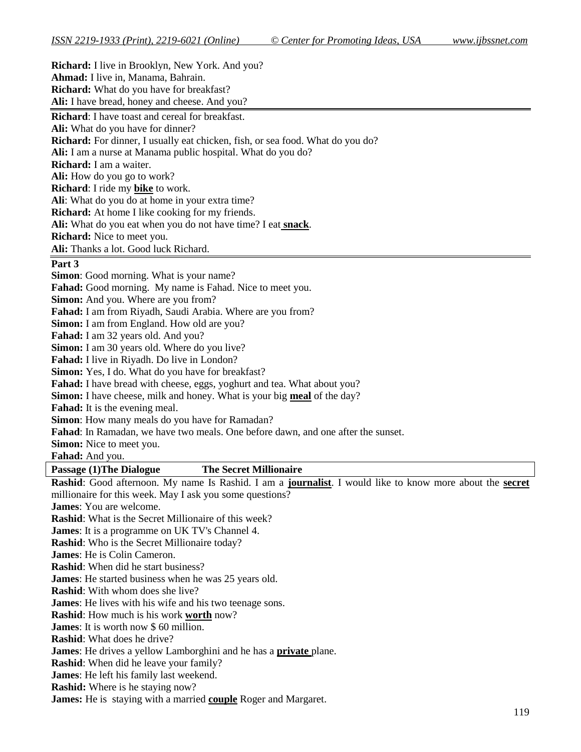| <b>Richard:</b> I live in Brooklyn, New York. And you?                                                             |
|--------------------------------------------------------------------------------------------------------------------|
| Ahmad: I live in, Manama, Bahrain.                                                                                 |
| <b>Richard:</b> What do you have for breakfast?                                                                    |
| Ali: I have bread, honey and cheese. And you?                                                                      |
| <b>Richard:</b> I have toast and cereal for breakfast.                                                             |
| Ali: What do you have for dinner?                                                                                  |
| Richard: For dinner, I usually eat chicken, fish, or sea food. What do you do?                                     |
| Ali: I am a nurse at Manama public hospital. What do you do?                                                       |
| Richard: I am a waiter.                                                                                            |
| Ali: How do you go to work?                                                                                        |
| Richard: I ride my bike to work.                                                                                   |
| Ali: What do you do at home in your extra time?                                                                    |
| <b>Richard:</b> At home I like cooking for my friends.                                                             |
| Ali: What do you eat when you do not have time? I eat <b>snack</b> .                                               |
| <b>Richard:</b> Nice to meet you.                                                                                  |
| Ali: Thanks a lot. Good luck Richard.                                                                              |
| Part 3                                                                                                             |
| Simon: Good morning. What is your name?                                                                            |
| Fahad: Good morning. My name is Fahad. Nice to meet you.                                                           |
| Simon: And you. Where are you from?                                                                                |
| Fahad: I am from Riyadh, Saudi Arabia. Where are you from?                                                         |
| Simon: I am from England. How old are you?                                                                         |
| Fahad: I am 32 years old. And you?                                                                                 |
| Simon: I am 30 years old. Where do you live?                                                                       |
| Fahad: I live in Riyadh. Do live in London?                                                                        |
| Simon: Yes, I do. What do you have for breakfast?                                                                  |
| Fahad: I have bread with cheese, eggs, yoghurt and tea. What about you?                                            |
| <b>Simon:</b> I have cheese, milk and honey. What is your big meal of the day?                                     |
| Fahad: It is the evening meal.                                                                                     |
| Simon: How many meals do you have for Ramadan?                                                                     |
| Fahad: In Ramadan, we have two meals. One before dawn, and one after the sunset.                                   |
| Simon: Nice to meet you.                                                                                           |
| Fahad: And you.                                                                                                    |
| <b>The Secret Millionaire</b><br><b>Passage (1) The Dialogue</b>                                                   |
| Rashid: Good afternoon. My name Is Rashid. I am a journalist. I would like to know more about the secret           |
| millionaire for this week. May I ask you some questions?                                                           |
| <b>James:</b> You are welcome.                                                                                     |
| <b>Rashid:</b> What is the Secret Millionaire of this week?                                                        |
| <b>James:</b> It is a programme on UK TV's Channel 4.                                                              |
| Rashid: Who is the Secret Millionaire today?                                                                       |
| James: He is Colin Cameron.                                                                                        |
| <b>Rashid:</b> When did he start business?                                                                         |
| <b>James:</b> He started business when he was 25 years old.<br><b>Rashid:</b> With whom does she live?             |
|                                                                                                                    |
| <b>James:</b> He lives with his wife and his two teenage sons.                                                     |
| Rashid: How much is his work worth now?<br><b>James:</b> It is worth now \$60 million.                             |
| <b>Rashid:</b> What does he drive?                                                                                 |
|                                                                                                                    |
| James: He drives a yellow Lamborghini and he has a <b>private</b> plane.<br>Rashid: When did he leave your family? |
| <b>James:</b> He left his family last weekend.                                                                     |
| <b>Rashid:</b> Where is he staying now?                                                                            |
| James: He is staying with a married couple Roger and Margaret.                                                     |
|                                                                                                                    |